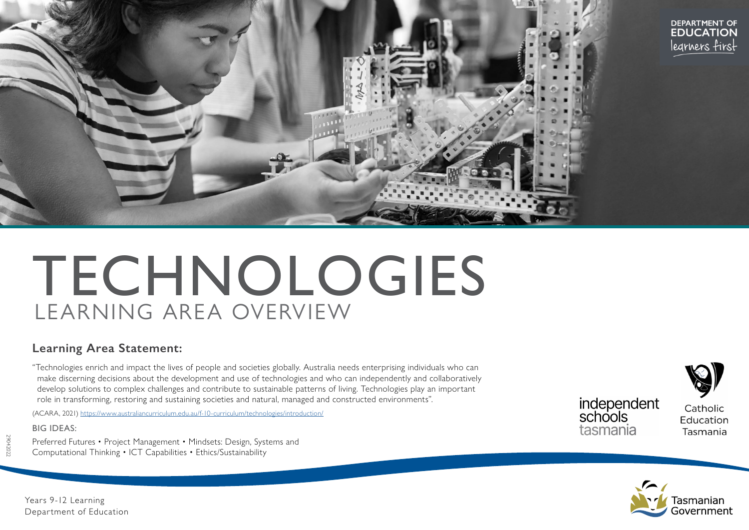

# TECHNOLOGIES LEARNING AREA OVERVIEW

## **Learning Area Statement:**

"Technologies enrich and impact the lives of people and societies globally. Australia needs enterprising individuals who can make discerning decisions about the development and use of technologies and who can independently and collaboratively develop solutions to complex challenges and contribute to sustainable patterns of living. Technologies play an important role in transforming, restoring and sustaining societies and natural, managed and constructed environments".

(ACARA, 2021)<https://www.australiancurriculum.edu.au/f-10-curriculum/technologies/introduction/>

#### BIG IDEAS:

Preferred Futures • Project Management • Mindsets: Design, Systems and Computational Thinking • ICT Capabilities • Ethics/Sustainability



Catholic Education Tasmania



Years 9-12 Learning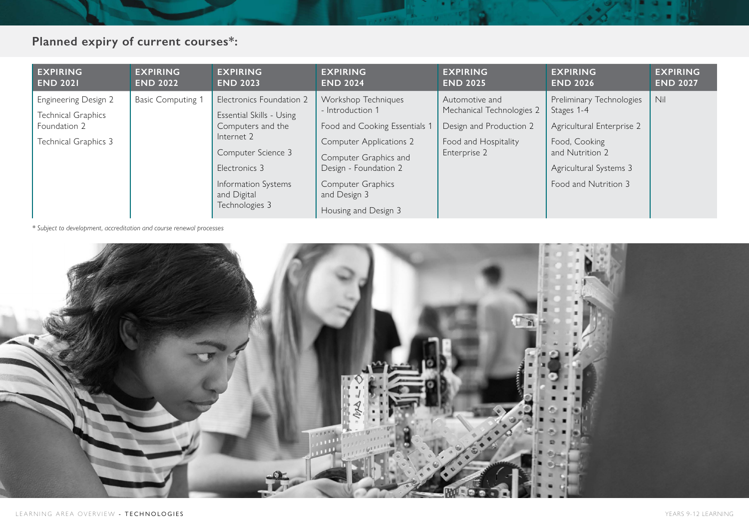# **Planned expiry of current courses\*:**

| <b>EXPIRING</b>                                                                           | <b>EXPIRING</b>          | <b>EXPIRING</b>                                                                                                                                                                        | <b>EXPIRING</b>                                                                                                                                                                                                                  | <b>EXPIRING</b>                                                                                                | <b>EXPIRING</b>                                                                                                                                           | <b>EXPIRING</b> |
|-------------------------------------------------------------------------------------------|--------------------------|----------------------------------------------------------------------------------------------------------------------------------------------------------------------------------------|----------------------------------------------------------------------------------------------------------------------------------------------------------------------------------------------------------------------------------|----------------------------------------------------------------------------------------------------------------|-----------------------------------------------------------------------------------------------------------------------------------------------------------|-----------------|
| <b>END 2021</b>                                                                           | <b>END 2022</b>          | <b>END 2023</b>                                                                                                                                                                        | <b>END 2024</b>                                                                                                                                                                                                                  | <b>END 2025</b>                                                                                                | <b>END 2026</b>                                                                                                                                           | <b>END 2027</b> |
| <b>Engineering Design 2</b><br>Technical Graphics<br>Foundation 2<br>Technical Graphics 3 | <b>Basic Computing 1</b> | Electronics Foundation 2<br>Essential Skills - Using<br>Computers and the<br>Internet 2<br>Computer Science 3<br>Electronics 3<br>Information Systems<br>and Digital<br>Technologies 3 | Workshop Techniques<br>- Introduction 1<br>Food and Cooking Essentials 1<br><b>Computer Applications 2</b><br>Computer Graphics and<br>Design - Foundation 2<br><b>Computer Graphics</b><br>and Design 3<br>Housing and Design 3 | Automotive and<br>Mechanical Technologies 2<br>Design and Production 2<br>Food and Hospitality<br>Enterprise 2 | Preliminary Technologies<br>Stages 1-4<br>Agricultural Enterprise 2<br>Food, Cooking<br>and Nutrition 2<br>Agricultural Systems 3<br>Food and Nutrition 3 | Nil             |

*\* Subject to development, accreditation and course renewal processes*

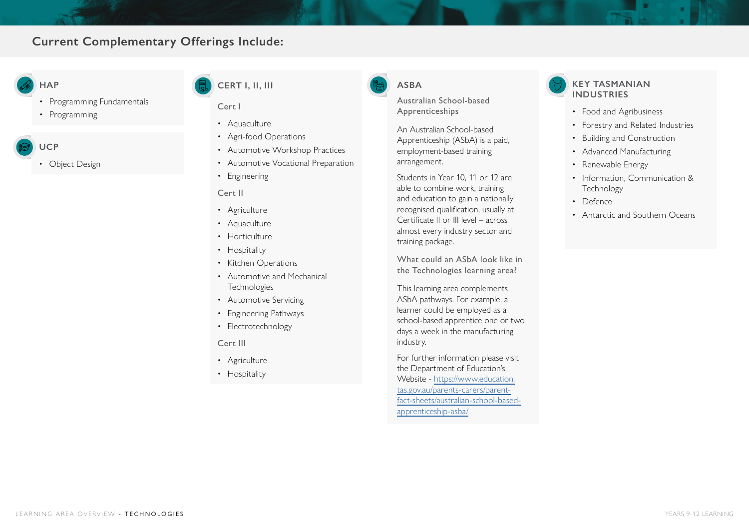## **Current Complementary Offerings Include:**

### **HAP**

- Programming Fundamentals
- Programming
- **UCP** 
	- Object Design

## **CERT I, II, III**

#### Cert I

- Aquaculture
- Agri-food Operations
- Automotive Workshop Practices
- Automotive Vocational Preparation
- Engineering

#### Cert II

- Agriculture
- Aquaculture
- Horticulture
- Hospitality
- Kitchen Operations
- Automotive and Mechanical **Technologies**
- Automotive Servicing
- Engineering Pathways
- Electrotechnology

#### Cert III

- Agriculture
- Hospitality

## **ASBA**

Australian School-based Apprenticeships

An Australian School-based Apprenticeship (ASbA) is a paid, employment-based training arrangement.

Students in Year 10, 11 or 12 are able to combine work, training and education to gain a nationally recognised qualification, usually at Certificate II or III level – across almost every industry sector and training package.

What could an ASbA look like in the Technologies learning area?

This learning area complements ASbA pathways. For example, a learner could be employed as a school-based apprentice one or two days a week in the manufacturing industry.

For further information please visit the Department of Education's Website - [https://www.education.](https://www.education.tas.gov.au/parents-carers/parent-fact-sheets/australian-school-based-apprenticeship-asba/ ) [tas.gov.au/parents-carers/parent](https://www.education.tas.gov.au/parents-carers/parent-fact-sheets/australian-school-based-apprenticeship-asba/ )[fact-sheets/australian-school-based](https://www.education.tas.gov.au/parents-carers/parent-fact-sheets/australian-school-based-apprenticeship-asba/ )[apprenticeship-asba/](https://www.education.tas.gov.au/parents-carers/parent-fact-sheets/australian-school-based-apprenticeship-asba/ )

## **KEY TASMANIAN INDUSTRIES**

- Food and Agribusiness
- Forestry and Related Industries
- Building and Construction
- Advanced Manufacturing
- Renewable Energy
- Information, Communication & **Technology**
- Defence
- Antarctic and Southern Oceans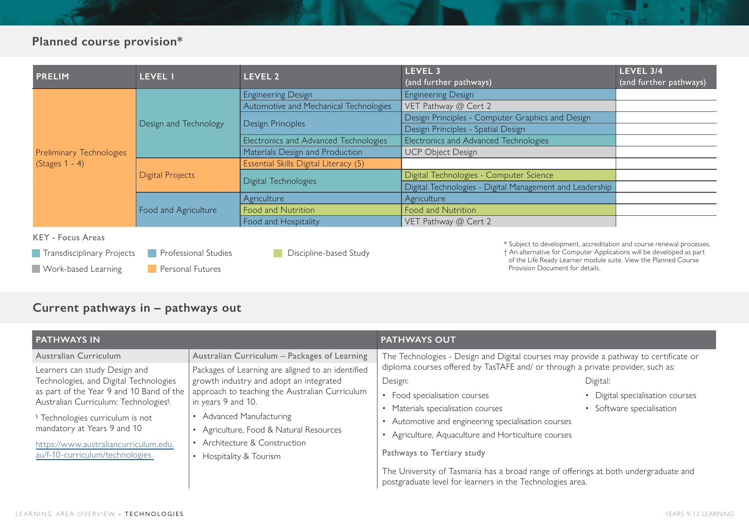# **Planned course provision\***

| <b>PRELIM</b>                   | LEVEL 1               | LEVEL 2                                | LEVEL 3<br>(and further pathways)                        | LEVEL 3/4<br>(and further pathways) |
|---------------------------------|-----------------------|----------------------------------------|----------------------------------------------------------|-------------------------------------|
|                                 |                       | <b>Engineering Design</b>              | <b>Engineering Design</b>                                |                                     |
|                                 |                       | Automotive and Mechanical Technologies | VET Pathway @ Cert 2                                     |                                     |
|                                 | Design and Technology | Design Principles                      | Design Principles - Computer Graphics and Design         |                                     |
|                                 |                       |                                        | Design Principles - Spatial Design                       |                                     |
|                                 |                       | Electronics and Advanced Technologies  | Electronics and Advanced Technologies                    |                                     |
| <b>Preliminary Technologies</b> |                       | Materials Design and Production        | <b>UCP Object Design</b>                                 |                                     |
| $(Stages 1 - 4)$                | Digital Projects      | Essential Skills Digital Literacy (5)  |                                                          |                                     |
|                                 |                       |                                        | Digital Technologies - Computer Science                  |                                     |
|                                 |                       | Digital Technologies                   | Digital Technologies - Digital Management and Leadership |                                     |
|                                 |                       | Agriculture                            | Agriculture                                              |                                     |
|                                 | Food and Agriculture  | Food and Nutrition                     | Food and Nutrition                                       |                                     |
|                                 |                       | Food and Hospitality                   | VET Pathway @ Cert 2                                     |                                     |

#### KEY - Focus Areas

| Transdisciplinary Projects | <b>Professional Studies</b> |
|----------------------------|-----------------------------|
| Work-based Learning        | <b>Personal Futures</b>     |

Discipline-based Study**College** 

\* Subject to development, accreditation and course renewal processes. † An alternative for Computer Applications will be developed as part of the Life Ready Learner module suite. View the Planned Course

Provision Document for details.

# **Current pathways in – pathways out**

| <b>PATHWAYS IN</b>                                                                                                                                                                                                                                |                                                                                                                                                                                                                                                  | <b>PATHWAYS OUT</b>                                                                                                                                                                                                                                                                                                                                                                                       |  |  |  |  |
|---------------------------------------------------------------------------------------------------------------------------------------------------------------------------------------------------------------------------------------------------|--------------------------------------------------------------------------------------------------------------------------------------------------------------------------------------------------------------------------------------------------|-----------------------------------------------------------------------------------------------------------------------------------------------------------------------------------------------------------------------------------------------------------------------------------------------------------------------------------------------------------------------------------------------------------|--|--|--|--|
| Australian Curriculum<br>Learners can study Design and<br>Technologies, and Digital Technologies<br>as part of the Year 9 and 10 Band of the<br>Australian Curriculum: Technologies <sup>§</sup> .<br><sup>§</sup> Technologies curriculum is not | Australian Curriculum - Packages of Learning<br>Packages of Learning are aligned to an identified<br>growth industry and adopt an integrated<br>approach to teaching the Australian Curriculum<br>in years 9 and 10.<br>• Advanced Manufacturing | The Technologies - Design and Digital courses may provide a pathway to certificate or<br>diploma courses offered by TasTAFE and/ or through a private provider, such as:<br>Design:<br>Digital:<br>• Digital specialisation courses<br>• Food specialisation courses<br>• Materials specialisation courses<br>• Software specialisation<br>Automotive and engineering specialisation courses<br>$\bullet$ |  |  |  |  |
| mandatory at Years 9 and 10<br>https://www.australiancurriculum.edu.<br>au/f-10-curriculum/technologies                                                                                                                                           | Agriculture, Food & Natural Resources<br>Architecture & Construction<br>Hospitality & Tourism                                                                                                                                                    | • Agriculture, Aquaculture and Horticulture courses<br>Pathways to Tertiary study<br>The University of Tasmania has a broad range of offerings at both undergraduate and<br>postgraduate level for learners in the Technologies area.                                                                                                                                                                     |  |  |  |  |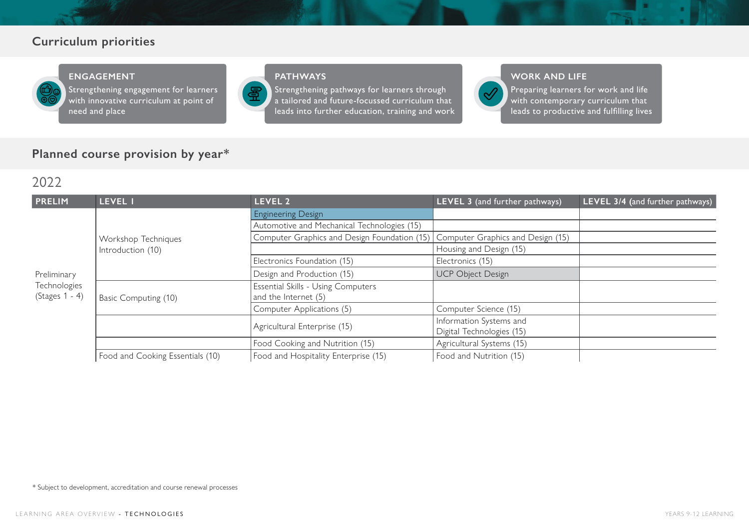## **Curriculum priorities**



#### **ENGAGEMENT**

Strengthening engagement for learners with innovative curriculum at point of need and place

## **PATHWAYS**

冨

Strengthening pathways for learners through a tailored and future-focussed curriculum that leads into further education, training and work



#### **WORK AND LIFE**

Preparing learners for work and life with contemporary curriculum that leads to productive and fulfilling lives

## **Planned course provision by year\***

## 2022

| <b>PRELIM</b>               | LEVEL I                          | LEVEL 2                                                                        | LEVEL 3 (and further pathways) | LEVEL 3/4 (and further pathways) |
|-----------------------------|----------------------------------|--------------------------------------------------------------------------------|--------------------------------|----------------------------------|
|                             |                                  | <b>Engineering Design</b>                                                      |                                |                                  |
|                             |                                  | Automotive and Mechanical Technologies (15)                                    |                                |                                  |
|                             | Workshop Techniques              | Computer Graphics and Design Foundation (15) Computer Graphics and Design (15) |                                |                                  |
|                             | Introduction (10)                |                                                                                | Housing and Design (15)        |                                  |
| Preliminary<br>Technologies |                                  | Electronics Foundation (15)                                                    | Electronics (15)               |                                  |
|                             |                                  | Design and Production (15)                                                     | <b>UCP Object Design</b>       |                                  |
|                             | Basic Computing (10)             | Essential Skills - Using Computers                                             |                                |                                  |
| $(Stages 1 - 4)$            |                                  | and the Internet (5)                                                           |                                |                                  |
|                             |                                  | Computer Applications (5)                                                      | Computer Science (15)          |                                  |
|                             |                                  | Agricultural Enterprise (15)                                                   | Information Systems and        |                                  |
|                             |                                  |                                                                                | Digital Technologies (15)      |                                  |
|                             |                                  | Food Cooking and Nutrition (15)                                                | Agricultural Systems (15)      |                                  |
|                             | Food and Cooking Essentials (10) | Food and Hospitality Enterprise (15)                                           | Food and Nutrition (15)        |                                  |

\* Subject to development, accreditation and course renewal processes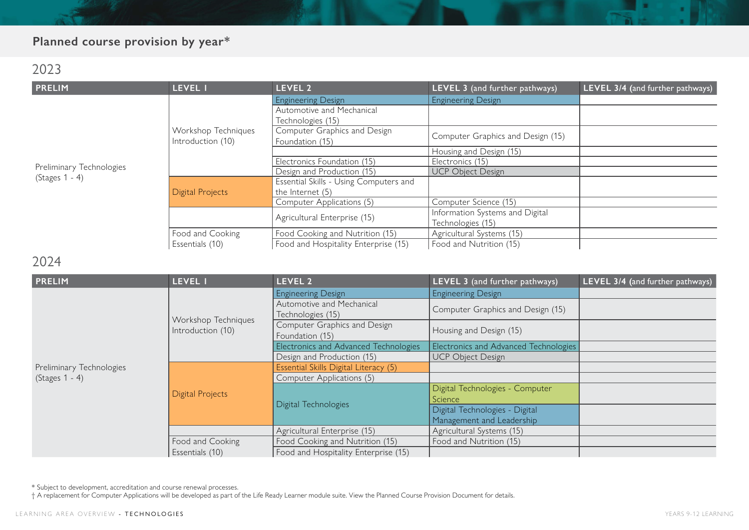# **Planned course provision by year\***

## 2023

| <b>PRELIM</b>            | <b>LEVEL I</b>          | LEVEL <sub>2</sub>                     | LEVEL 3 (and further pathways)    | LEVEL 3/4 (and further pathways) |
|--------------------------|-------------------------|----------------------------------------|-----------------------------------|----------------------------------|
|                          |                         | <b>Engineering Design</b>              | <b>Engineering Design</b>         |                                  |
|                          |                         | Automotive and Mechanical              |                                   |                                  |
|                          |                         | Technologies (15)                      |                                   |                                  |
|                          | Workshop Techniques     | Computer Graphics and Design           | Computer Graphics and Design (15) |                                  |
|                          | Introduction (10)       | Foundation (15)                        |                                   |                                  |
|                          |                         |                                        | Housing and Design (15)           |                                  |
| Preliminary Technologies |                         | Electronics Foundation (15)            | Electronics (15)                  |                                  |
|                          |                         | Design and Production (15)             | <b>UCP Object Design</b>          |                                  |
| $(Stages 1 - 4)$         | <b>Digital Projects</b> | Essential Skills - Using Computers and |                                   |                                  |
|                          |                         | the Internet $(5)$                     |                                   |                                  |
|                          |                         | Computer Applications (5)              | Computer Science (15)             |                                  |
|                          |                         | Agricultural Enterprise (15)           | Information Systems and Digital   |                                  |
|                          |                         |                                        | Technologies (15)                 |                                  |
|                          | Food and Cooking        | Food Cooking and Nutrition (15)        | Agricultural Systems (15)         |                                  |
|                          | Essentials (10)         | Food and Hospitality Enterprise (15)   | Food and Nutrition (15)           |                                  |

## 2024

| <b>PRELIM</b>            | LEVEL I                 | LEVEL 2                               | LEVEL 3 (and further pathways)        | LEVEL 3/4 (and further pathways) |
|--------------------------|-------------------------|---------------------------------------|---------------------------------------|----------------------------------|
|                          |                         | <b>Engineering Design</b>             | <b>Engineering Design</b>             |                                  |
|                          |                         | Automotive and Mechanical             | Computer Graphics and Design (15)     |                                  |
|                          | Workshop Techniques     | Technologies (15)                     |                                       |                                  |
|                          | Introduction (10)       | Computer Graphics and Design          | Housing and Design (15)               |                                  |
|                          |                         | Foundation (15)                       |                                       |                                  |
|                          |                         | Electronics and Advanced Technologies | Electronics and Advanced Technologies |                                  |
|                          |                         | Design and Production (15)            | UCP Object Design                     |                                  |
| Preliminary Technologies | <b>Digital Projects</b> | Essential Skills Digital Literacy (5) |                                       |                                  |
| $(Stages 1 - 4)$         |                         | Computer Applications (5)             |                                       |                                  |
|                          |                         |                                       | Digital Technologies - Computer       |                                  |
|                          |                         | Digital Technologies                  | Science                               |                                  |
|                          |                         |                                       | Digital Technologies - Digital        |                                  |
|                          |                         |                                       | Management and Leadership             |                                  |
|                          |                         | Agricultural Enterprise (15)          | Agricultural Systems (15)             |                                  |
|                          | Food and Cooking        | Food Cooking and Nutrition (15)       | Food and Nutrition (15)               |                                  |
|                          | Essentials (10)         | Food and Hospitality Enterprise (15)  |                                       |                                  |

\* Subject to development, accreditation and course renewal processes.

† A replacement for Computer Applications will be developed as part of the Life Ready Learner module suite. View the Planned Course Provision Document for details.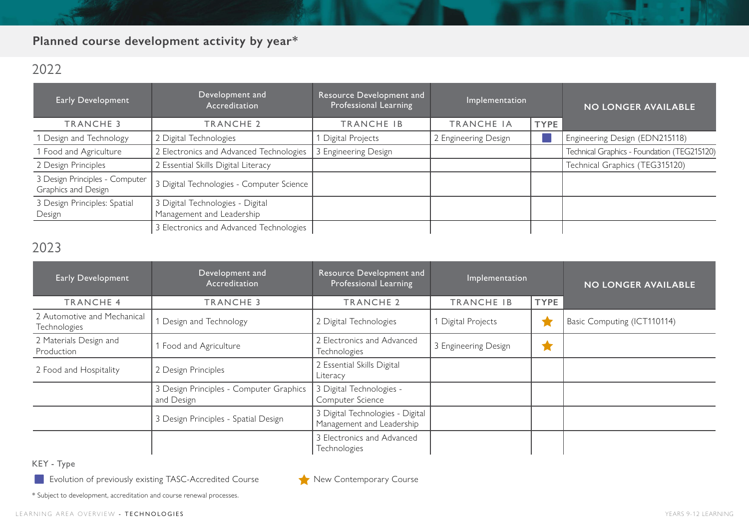# **Planned course development activity by year\***

# 2022

| Early Development                                     | Development and<br>Accreditation                              | Resource Development and<br>Professional Learning | Implementation       |             | <b>NO LONGER AVAILABLE</b>                  |
|-------------------------------------------------------|---------------------------------------------------------------|---------------------------------------------------|----------------------|-------------|---------------------------------------------|
| <b>TRANCHE 3</b>                                      | <b>TRANCHE 2</b>                                              | TRANCHE IB                                        | <b>TRANCHE IA</b>    | <b>TYPE</b> |                                             |
| 1 Design and Technology                               | 2 Digital Technologies                                        | Digital Projects                                  | 2 Engineering Design |             | Engineering Design (EDN215118)              |
| 1 Food and Agriculture                                | 2 Electronics and Advanced Technologies                       | 3 Engineering Design                              |                      |             | Technical Graphics - Foundation (TEG215120) |
| 2 Design Principles                                   | 2 Essential Skills Digital Literacy                           |                                                   |                      |             | Technical Graphics (TEG315120)              |
| 3 Design Principles - Computer<br>Graphics and Design | 3 Digital Technologies - Computer Science                     |                                                   |                      |             |                                             |
| 3 Design Principles: Spatial<br>Design                | 3 Digital Technologies - Digital<br>Management and Leadership |                                                   |                      |             |                                             |
|                                                       | 3 Electronics and Advanced Technologies                       |                                                   |                      |             |                                             |

# 2023

| <b>Early Development</b>                    | Development and<br>Accreditation                      | Resource Development and<br>Professional Learning             | Implementation       |             | <b>NO LONGER AVAILABLE</b>  |
|---------------------------------------------|-------------------------------------------------------|---------------------------------------------------------------|----------------------|-------------|-----------------------------|
| <b>TRANCHE 4</b>                            | <b>TRANCHE 3</b>                                      | <b>TRANCHE 2</b>                                              | TRANCHE IB           | <b>TYPE</b> |                             |
| 2 Automotive and Mechanical<br>Technologies | Design and Technology                                 | 2 Digital Technologies                                        | Digital Projects     |             | Basic Computing (ICT110114) |
| 2 Materials Design and<br>Production        | Food and Agriculture                                  | 2 Electronics and Advanced<br>Technologies                    | 3 Engineering Design | ×           |                             |
| 2 Food and Hospitality                      | 2 Design Principles                                   | 2 Essential Skills Digital<br>Literacy                        |                      |             |                             |
|                                             | 3 Design Principles - Computer Graphics<br>and Design | 3 Digital Technologies -<br>Computer Science                  |                      |             |                             |
|                                             | 3 Design Principles - Spatial Design                  | 3 Digital Technologies - Digital<br>Management and Leadership |                      |             |                             |
|                                             |                                                       | 3 Electronics and Advanced<br>Technologies                    |                      |             |                             |

KEY - Type

Evolution of previously existing TASC-Accredited Course New Contemporary Course

\* Subject to development, accreditation and course renewal processes.